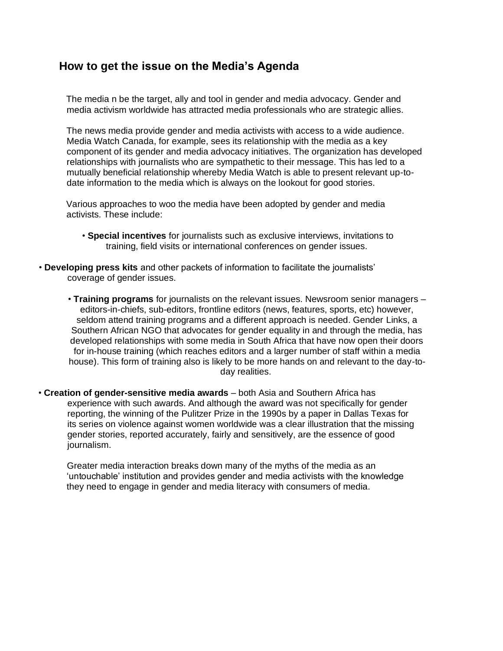# **How to get the issue on the Media's Agenda**

The media n be the target, ally and tool in gender and media advocacy. Gender and media activism worldwide has attracted media professionals who are strategic allies.

The news media provide gender and media activists with access to a wide audience. Media Watch Canada, for example, sees its relationship with the media as a key component of its gender and media advocacy initiatives. The organization has developed relationships with journalists who are sympathetic to their message. This has led to a mutually beneficial relationship whereby Media Watch is able to present relevant up-todate information to the media which is always on the lookout for good stories.

Various approaches to woo the media have been adopted by gender and media activists. These include:

- **Special incentives** for journalists such as exclusive interviews, invitations to training, field visits or international conferences on gender issues.
- **Developing press kits** and other packets of information to facilitate the journalists' coverage of gender issues.
	- **Training programs** for journalists on the relevant issues. Newsroom senior managers editors-in-chiefs, sub-editors, frontline editors (news, features, sports, etc) however, seldom attend training programs and a different approach is needed. Gender Links, a Southern African NGO that advocates for gender equality in and through the media, has developed relationships with some media in South Africa that have now open their doors for in-house training (which reaches editors and a larger number of staff within a media house). This form of training also is likely to be more hands on and relevant to the day-today realities.
- **Creation of gender-sensitive media awards**  both Asia and Southern Africa has experience with such awards. And although the award was not specifically for gender reporting, the winning of the Pulitzer Prize in the 1990s by a paper in Dallas Texas for its series on violence against women worldwide was a clear illustration that the missing gender stories, reported accurately, fairly and sensitively, are the essence of good journalism.

Greater media interaction breaks down many of the myths of the media as an 'untouchable' institution and provides gender and media activists with the knowledge they need to engage in gender and media literacy with consumers of media.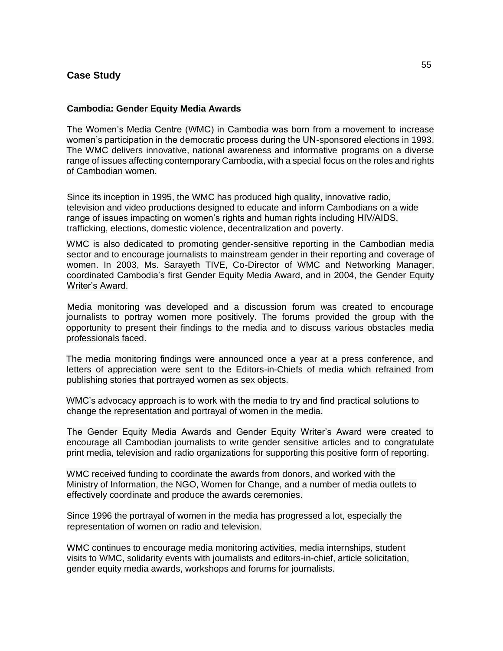# **Case Study**

#### **Cambodia: Gender Equity Media Awards**

The Women's Media Centre (WMC) in Cambodia was born from a movement to increase women's participation in the democratic process during the UN-sponsored elections in 1993. The WMC delivers innovative, national awareness and informative programs on a diverse range of issues affecting contemporary Cambodia, with a special focus on the roles and rights of Cambodian women.

Since its inception in 1995, the WMC has produced high quality, innovative radio, television and video productions designed to educate and inform Cambodians on a wide range of issues impacting on women's rights and human rights including HIV/AIDS, trafficking, elections, domestic violence, decentralization and poverty.

WMC is also dedicated to promoting gender-sensitive reporting in the Cambodian media sector and to encourage journalists to mainstream gender in their reporting and coverage of women. In 2003, Ms. Sarayeth TIVE, Co-Director of WMC and Networking Manager, coordinated Cambodia's first Gender Equity Media Award, and in 2004, the Gender Equity Writer's Award.

Media monitoring was developed and a discussion forum was created to encourage journalists to portray women more positively. The forums provided the group with the opportunity to present their findings to the media and to discuss various obstacles media professionals faced.

The media monitoring findings were announced once a year at a press conference, and letters of appreciation were sent to the Editors-in-Chiefs of media which refrained from publishing stories that portrayed women as sex objects.

WMC's advocacy approach is to work with the media to try and find practical solutions to change the representation and portrayal of women in the media.

The Gender Equity Media Awards and Gender Equity Writer's Award were created to encourage all Cambodian journalists to write gender sensitive articles and to congratulate print media, television and radio organizations for supporting this positive form of reporting.

WMC received funding to coordinate the awards from donors, and worked with the Ministry of Information, the NGO, Women for Change, and a number of media outlets to effectively coordinate and produce the awards ceremonies.

Since 1996 the portrayal of women in the media has progressed a lot, especially the representation of women on radio and television.

WMC continues to encourage media monitoring activities, media internships, student visits to WMC, solidarity events with journalists and editors-in-chief, article solicitation, gender equity media awards, workshops and forums for journalists.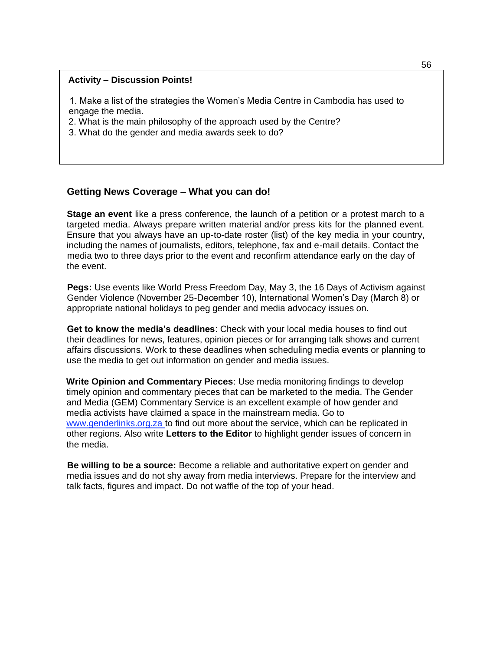#### **Activity – Discussion Points!**

1. Make a list of the strategies the Women's Media Centre in Cambodia has used to engage the media.

2. What is the main philosophy of the approach used by the Centre?

3. What do the gender and media awards seek to do?

# **Getting News Coverage – What you can do!**

**Stage an event** like a press conference, the launch of a petition or a protest march to a targeted media. Always prepare written material and/or press kits for the planned event. Ensure that you always have an up-to-date roster (list) of the key media in your country, including the names of journalists, editors, telephone, fax and e-mail details. Contact the media two to three days prior to the event and reconfirm attendance early on the day of the event.

**Pegs:** Use events like World Press Freedom Day, May 3, the 16 Days of Activism against Gender Violence (November 25-December 10), International Women's Day (March 8) or appropriate national holidays to peg gender and media advocacy issues on.

**Get to know the media's deadlines**: Check with your local media houses to find out their deadlines for news, features, opinion pieces or for arranging talk shows and current affairs discussions. Work to these deadlines when scheduling media events or planning to use the media to get out information on gender and media issues.

**Write Opinion and Commentary Pieces**: Use media monitoring findings to develop timely opinion and commentary pieces that can be marketed to the media. The Gender and Media (GEM) Commentary Service is an excellent example of how gender and media activists have claimed a space in the mainstream media. Go to www.genderlinks.org.za to find out more about the service, which can be replicated in other regions. Also write **Letters to the Editor** to highlight gender issues of concern in the media.

**Be willing to be a source:** Become a reliable and authoritative expert on gender and media issues and do not shy away from media interviews. Prepare for the interview and talk facts, figures and impact. Do not waffle of the top of your head.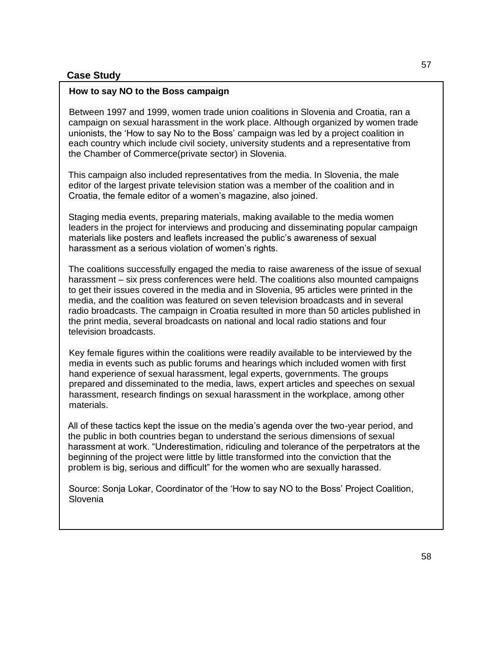# **Case Study**

# **How to say NO to the Boss campaign**

Between 1997 and 1999, women trade union coalitions in Slovenia and Croatia, ran a campaign on sexual harassment in the work place. Although organized by women trade unionists, the 'How to say No to the Boss' campaign was led by a project coalition in each country which include civil society, university students and a representative from the Chamber of Commerce(private sector) in Slovenia.

This campaign also included representatives from the media. In Slovenia, the male editor of the largest private television station was a member of the coalition and in Croatia, the female editor of a women's magazine, also joined.

Staging media events, preparing materials, making available to the media women leaders in the project for interviews and producing and disseminating popular campaign materials like posters and leaflets increased the public's awareness of sexual harassment as a serious violation of women's rights.

The coalitions successfully engaged the media to raise awareness of the issue of sexual harassment – six press conferences were held. The coalitions also mounted campaigns to get their issues covered in the media and in Slovenia, 95 articles were printed in the media, and the coalition was featured on seven television broadcasts and in several radio broadcasts. The campaign in Croatia resulted in more than 50 articles published in the print media, several broadcasts on national and local radio stations and four television broadcasts.

Key female figures within the coalitions were readily available to be interviewed by the media in events such as public forums and hearings which included women with first hand experience of sexual harassment, legal experts, governments. The groups prepared and disseminated to the media, laws, expert articles and speeches on sexual harassment, research findings on sexual harassment in the workplace, among other materials.

All of these tactics kept the issue on the media's agenda over the two-year period, and the public in both countries began to understand the serious dimensions of sexual harassment at work. "Underestimation, ridiculing and tolerance of the perpetrators at the beginning of the project were little by little transformed into the conviction that the problem is big, serious and difficult" for the women who are sexually harassed.

Source: Sonja Lokar, Coordinator of the 'How to say NO to the Boss' Project Coalition, Slovenia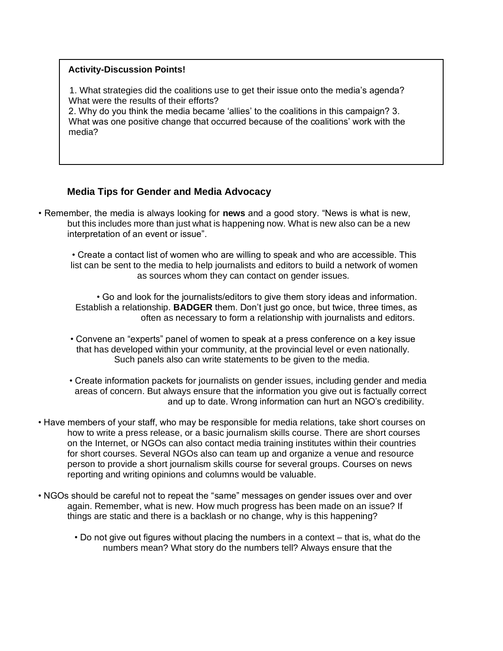### **Activity-Discussion Points!**

1. What strategies did the coalitions use to get their issue onto the media's agenda? What were the results of their efforts?

2. Why do you think the media became 'allies' to the coalitions in this campaign? 3. What was one positive change that occurred because of the coalitions' work with the media?

# **Media Tips for Gender and Media Advocacy**

• Remember, the media is always looking for **news** and a good story. "News is what is new, but this includes more than just what is happening now. What is new also can be a new interpretation of an event or issue".

• Create a contact list of women who are willing to speak and who are accessible. This list can be sent to the media to help journalists and editors to build a network of women as sources whom they can contact on gender issues.

• Go and look for the journalists/editors to give them story ideas and information. Establish a relationship. **BADGER** them. Don't just go once, but twice, three times, as often as necessary to form a relationship with journalists and editors.

- Convene an "experts" panel of women to speak at a press conference on a key issue that has developed within your community, at the provincial level or even nationally. Such panels also can write statements to be given to the media.
- Create information packets for journalists on gender issues, including gender and media areas of concern. But always ensure that the information you give out is factually correct and up to date. Wrong information can hurt an NGO's credibility.
- Have members of your staff, who may be responsible for media relations, take short courses on how to write a press release, or a basic journalism skills course. There are short courses on the Internet, or NGOs can also contact media training institutes within their countries for short courses. Several NGOs also can team up and organize a venue and resource person to provide a short journalism skills course for several groups. Courses on news reporting and writing opinions and columns would be valuable.
- NGOs should be careful not to repeat the "same" messages on gender issues over and over again. Remember, what is new. How much progress has been made on an issue? If things are static and there is a backlash or no change, why is this happening?
	- Do not give out figures without placing the numbers in a context that is, what do the numbers mean? What story do the numbers tell? Always ensure that the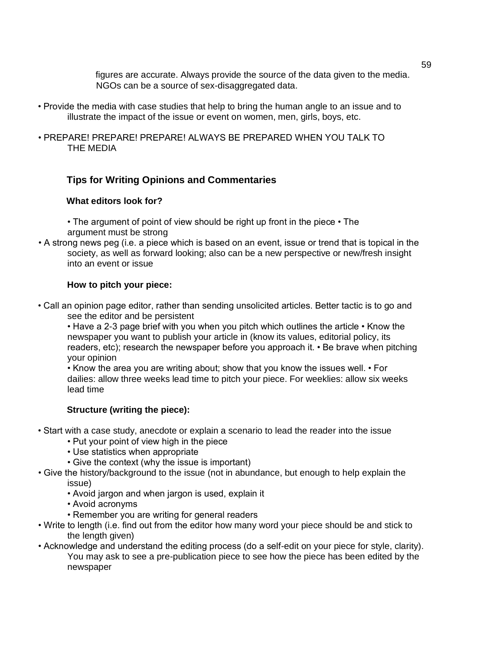figures are accurate. Always provide the source of the data given to the media. NGOs can be a source of sex-disaggregated data.

- Provide the media with case studies that help to bring the human angle to an issue and to illustrate the impact of the issue or event on women, men, girls, boys, etc.
- PREPARE! PREPARE! PREPARE! ALWAYS BE PREPARED WHEN YOU TALK TO THE MEDIA

# **Tips for Writing Opinions and Commentaries**

### **What editors look for?**

• The argument of point of view should be right up front in the piece • The argument must be strong

• A strong news peg (i.e. a piece which is based on an event, issue or trend that is topical in the society, as well as forward looking; also can be a new perspective or new/fresh insight into an event or issue

### **How to pitch your piece:**

• Call an opinion page editor, rather than sending unsolicited articles. Better tactic is to go and see the editor and be persistent

• Have a 2-3 page brief with you when you pitch which outlines the article • Know the newspaper you want to publish your article in (know its values, editorial policy, its readers, etc); research the newspaper before you approach it. • Be brave when pitching your opinion

• Know the area you are writing about; show that you know the issues well. • For dailies: allow three weeks lead time to pitch your piece. For weeklies: allow six weeks lead time

# **Structure (writing the piece):**

- Start with a case study, anecdote or explain a scenario to lead the reader into the issue
	- Put your point of view high in the piece
	- Use statistics when appropriate
	- Give the context (why the issue is important)
- Give the history/background to the issue (not in abundance, but enough to help explain the issue)
	- Avoid jargon and when jargon is used, explain it
	- Avoid acronyms
	- Remember you are writing for general readers
- Write to length (i.e. find out from the editor how many word your piece should be and stick to the length given)
- Acknowledge and understand the editing process (do a self-edit on your piece for style, clarity). You may ask to see a pre-publication piece to see how the piece has been edited by the newspaper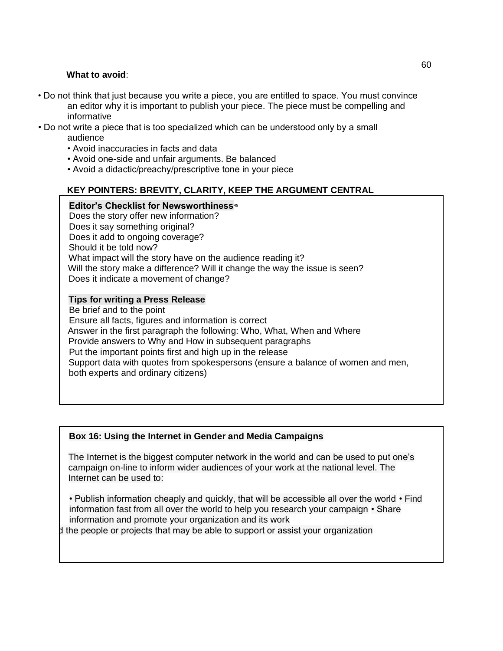## **What to avoid**:

- Do not think that just because you write a piece, you are entitled to space. You must convince an editor why it is important to publish your piece. The piece must be compelling and informative
- Do not write a piece that is too specialized which can be understood only by a small audience
	- Avoid inaccuracies in facts and data
	- Avoid one-side and unfair arguments. Be balanced
	- Avoid a didactic/preachy/prescriptive tone in your piece

# **KEY POINTERS: BREVITY, CLARITY, KEEP THE ARGUMENT CENTRAL**

### **Editor's Checklist for Newsworthiness<sup>45</sup>**

Does the story offer new information? Does it say something original? Does it add to ongoing coverage? Should it be told now? What impact will the story have on the audience reading it? Will the story make a difference? Will it change the way the issue is seen? Does it indicate a movement of change?

### **Tips for writing a Press Release**

Be brief and to the point Ensure all facts, figures and information is correct Answer in the first paragraph the following: Who, What, When and Where Provide answers to Why and How in subsequent paragraphs Put the important points first and high up in the release Support data with quotes from spokespersons (ensure a balance of women and men, both experts and ordinary citizens)

# **Box 16: Using the Internet in Gender and Media Campaigns**

The Internet is the biggest computer network in the world and can be used to put one's campaign on-line to inform wider audiences of your work at the national level. The Internet can be used to:

• Publish information cheaply and quickly, that will be accessible all over the world • Find information fast from all over the world to help you research your campaign • Share information and promote your organization and its work

I the people or projects that may be able to support or assist your organization